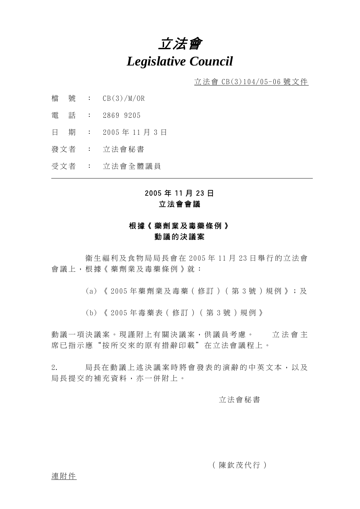# 立法會 *Legislative Council*

立法會 CB(3)104/05-06 號文件

- 檔 號 : CB(3)/M/OR
- 電 話 : 2869 9205
- 日 期 : 2005 年 11 月 3 日
- 發文者 : 立法會秘書
- 受文者 : 立法會全體議員

## 2005 年 11 月 23 日 立法會會議

## 根據《藥劑業及毒藥條例》 動議的決議案

 生福利及食物局局長會在 2005 年 11 月 23 日舉行的立法會 會議上,根據《藥劑業及毒藥條例》就:

(a) 《 2005 年藥劑業及毒藥(修訂)(第 3 號)規例》;及

(b) 《 2005 年毒藥表(修訂)(第 3 號)規例》

動議一項決議案。現謹附上有關決議案,供議員考慮。 立法會主 席已指示應"按所交來的原有措辭印載"在立法會議程上。

2. 局長在動議上述決議案時將會發表的演辭的中英文本,以及 局長提交的補充資料,亦一併附上。

#### 立法會秘書

(陳欽茂代行)

連附件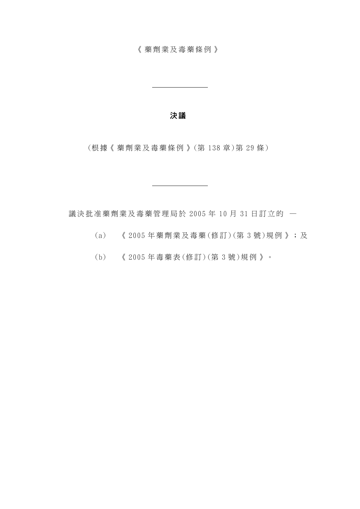《藥劑業及毒藥條例》

#### 決 議

(根據《藥劑業及毒藥條例》 (第 138 章 )第 29 條 )

議決批准藥劑業及毒藥管理局於 2005 年 10 月 31 日訂立的 —

- (a) 《 2005 年藥劑業及毒藥(修訂 )(第 3 號 )規例》;及
- (b) 《 2005 年毒藥表 (修 訂)(第 3 號 )規例》。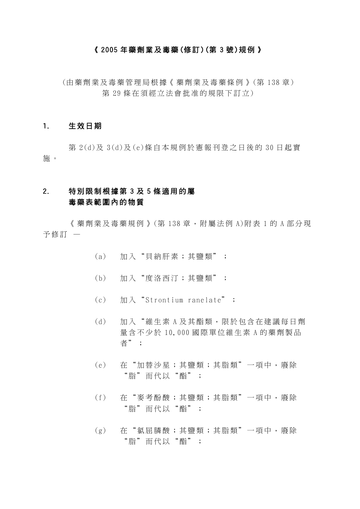#### 《 2005 年藥劑業及毒藥 (修訂 )(第 3 號 )規例》

(由藥劑業及毒藥管理局根據 《藥劑業及毒藥條例》 (第 138 章) 第 29 條在須經立法會批准的規限下訂立)

#### 1. 生效日期

第 2(d)及 3(d)及(e)條自本規例於憲報刊登之日後的 30 日起實 施 。

## 2. 特別限制根據第 3 及 5 條適用的屬 毒藥表範圍內的物質

《藥劑業及毒藥規例》(第 138 章,附屬法例 A)附 表 1 的 A 部分現 予修訂 —

- (a) 加入"貝納肝素;其鹽類";
- (b) 加入"度洛西汀;其鹽類";
- (c) 加入" Strontium ranelate" ;
- (d) 加入"維生素 A 及其酯類,限於包含在建議每日劑 量含不少於 10,000 國際單位維生素 A 的藥劑製品 者";
- (e) 在"加替沙星;其鹽類;其脂類"一項中,廢除 "脂"而代以"酯";
- (f) 在"麥考酚酸;其鹽類;其脂類"一項中,廢除 "脂"而代以"酯";
- (g) 在"氯屈膦酸;其鹽類;其脂類"一項中,廢除 "脂"而代以"酯";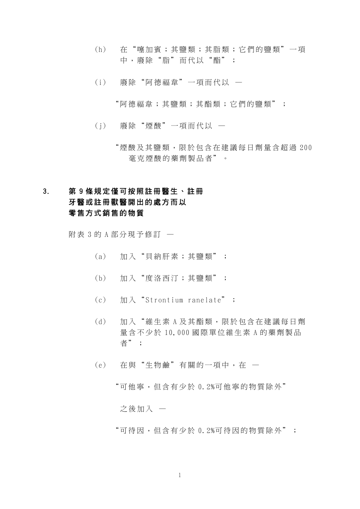- (h) 在"噻加賓;其鹽類;其脂類 ;它們的鹽類"一項 中,廢除"脂"而代以"酯";
- (i) 廢除"阿德福韋"一項而代以
	- "阿德福韋;其鹽類;其酯類;它們的鹽類";
- (j) 廢除"煙酸"一項而代以
	- "煙酸及其鹽類,限於包含在建議 每日劑量含超過 200 毫克煙酸的藥劑製品者"。

## 3. 第 9 條規定僅可按照註冊醫生、註冊 牙醫或註冊獸醫開出的處方而以 零售方式銷售的物質

附 表 3 的 A 部分現予修訂 —

- (a) 加入"貝納肝素;其鹽類";
- (b) 加入"度洛西汀;其鹽類";
- (c) 加入" Strontium ranelate" ;
- (d) 加入"維生素 A 及其酯類,限於包含在建議每日劑 量含不少於 10,000 國際單位維生素 A 的藥劑製品 者";
- (e) 在與"生物鹼"有關的一項中,在
	- "可他寧,但含有少於 0.2%可他寧的物質除外"

之後加入 —

"可待因,但含有少於 0.2%可待因的物質除外";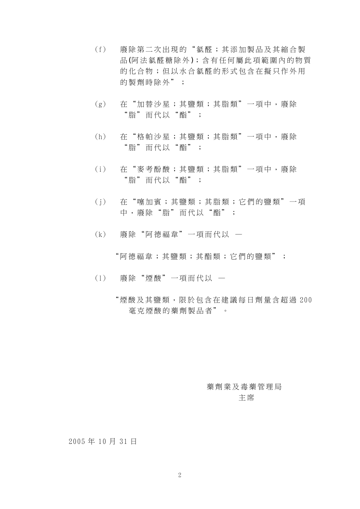- (f) 廢除第二次出現的"氯醛;其 添加製品及其縮合製 品(阿法氯醛糖除外);含有任何屬此項範圍內的物質 的化合物;但以水合氯醛的形式包含在擬只作外用 的製劑時除外";
- (g) 在"加替沙星;其鹽類;其脂類"一項中,廢除 "脂"而代以"酯";
- (h) 在"格帕沙星;其鹽類;其脂類"一項中,廢除 "脂"而代以"酯";
- (i) 在"麥考酚酸;其鹽類;其脂類"一項中,廢除 "脂"而代以"酯";
- (j) 在"噻加賓;其鹽類;其脂類 ;它們的鹽類"一項 中,廢除"脂"而代以"酯";
- (k) 廢除"阿德福韋"一項而代以 —

"阿德福韋;其鹽類;其酯類;它們的鹽類";

- (l) 廢除"煙酸"一項而代以
	- "煙酸及其鹽類,限於包含在建議 每日劑量含超過 200 毫克煙酸的藥劑製品者"。

## 藥劑業及毒藥管理局 主 席

#### 2005 年 10 月 31 日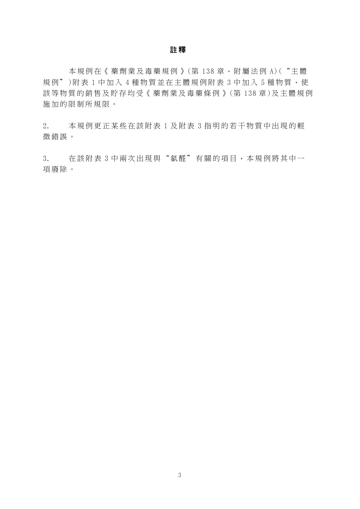#### 註 釋

本規例在《藥劑業及毒藥規例》(第138章,附屬法例 A)("主體 規例")附表 1 中加入 4 種物質並在主體規例附表 3 中加入 5 種物質,使 該等物質的銷售及貯存均受《 藥劑業及毒藥條例》(第 138 章 )及主體規例 施加的限制所規限。

2. 本規例更正某些在該附表 1 及附表 3 指明的若干物質中出現的輕 微錯誤。

3. 在該附表 3 中兩次出現與"氯醛"有關 的項目,本規例將其中一 項廢除。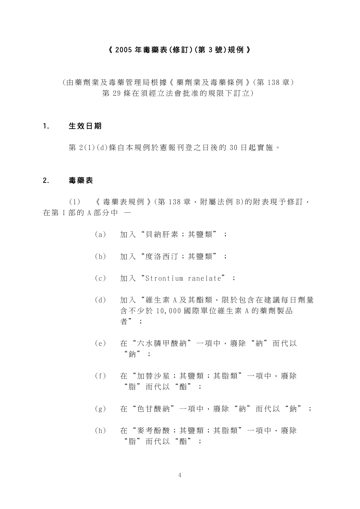#### 《 2005 年毒藥表(修 訂 )(第 3 號 )規例》

(由藥劑業及毒藥管理局根據 《藥劑業及毒藥條例》 (第 138 章) 第 29 條在須經立法會批准的規限下訂立)

#### 1. 生效日期

第 2(1)(d)條自本規例於憲報刊登之日後的 30 日起實施。

#### 2. 毒藥表

(1) 《毒藥表規例》 (第 138 章, 附屬法例 B)的附表現予修訂, 在第 I 部的 A 部分中 一

- (a) 加入"貝納肝素;其鹽類";
- (b) 加入"度洛西汀;其鹽類";
- $(c)$   $\text{Im }\lambda$  "Strontium ranelate" ;
- (d) 加入"維生素 A 及其酯類,限於包含在建議每日劑量 含不少於 10,000 國際單位維生素 A 的藥劑製品 者";
- (e) 在"六水膦甲酸納"一項中,廢除"納"而代以 "鈉";
- (f) 在"加替沙星;其鹽類;其脂類"一項中,廢除 "脂"而代以"酯";
- (g) 在"色甘酸納"一項中,廢除 "納"而代以"鈉";
- (h) 在"麥考酚酸;其鹽類;其脂類"一項中,廢除 "脂"而代以"酯";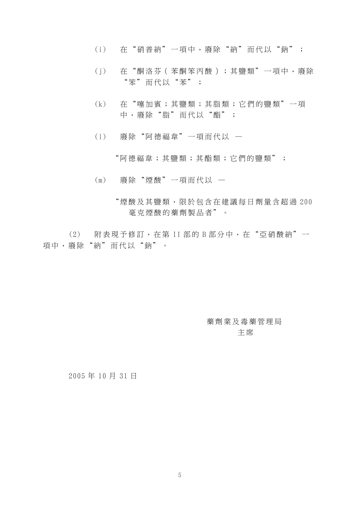- (i) 在"硝普納"一項中,廢除" 納"而代以"鈉";
- (j) 在"酮洛芬(苯酮笨丙酸); 其鹽類"一項中,廢除 "笨"而代以"苯";
- (k) 在"噻加賓;其鹽類;其脂類 ;它們的鹽類"一項 中,廢除"脂"而代以"酯";
- (l) 廢除"阿德福韋"一項而代以 —

"阿德福韋;其鹽類;其酯類;它們的鹽類";

- (m) 廢除"煙酸"一項而代以
	- "煙酸及其鹽類,限於包含在 建議每日劑量含超過 200 毫克煙酸的藥劑製品者"。

(2) 附表現予修訂,在第 II 部的 B 部分中,在"亞硝酸納"一 項中,廢除"納"而代以"鈉"。

## 藥劑業及毒藥管理局 主 席

2005 年 10 月 31 日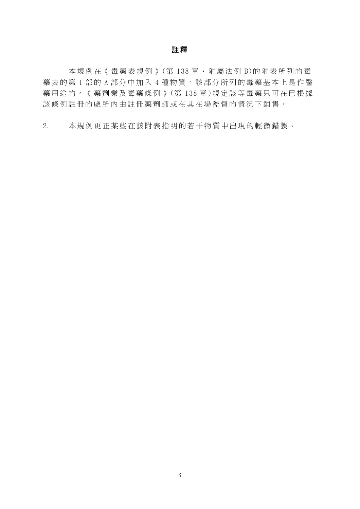#### 註 釋

本規例在《毒藥表規例》(第138章,附屬法例 B)的附表所列的毒 藥表的第 I 部 的 A 部分中加入 4 種物質。該部分所列的毒藥基本上是作醫 藥用途的。《藥劑業及毒藥條例》 (第 138 章)規定該等毒藥只可在已根據 該條例註冊的處所內由註冊藥 劑師或在其在場監督的情況 下銷售。

2. 本規例更正某些在該附表指明 的若干物質中出現的輕微錯誤。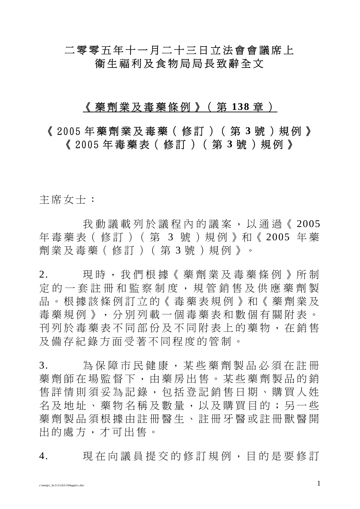## 二零零五年十一月二十三日立法會會議席上 衛生福利及食物局局長致辭全文

## 《藥劑業及毒藥條例》(第 **138** 章 )

《 2005 年藥劑業及毒藥(修訂)(第 **3** 號)規例》 《 2005 年毒藥表(修訂)(第 **3** 號)規例》

主席女士:

我動議載列於議程內的議案,以通過《2005 年毒藥表(修訂)(第 3 號)規例》和《 2005 年 藥 劑業及毒藥(修訂)(第 3 號)規例》。

2. 現時,我們根據《藥劑業及毒藥條例》所制 定的一套註冊和監察制度,規管銷售及供應藥劑製 品。根據該條例訂立的《毒藥表規例》和《藥劑業及 毒藥規例》,分別列載一個毒藥表和數個有關附表。 刊列於毒藥表不同部份及不同附表上的藥物,在銷售 及備存紀錄方面受著不同程度的管制。

3. 為保障市民健康,某些藥劑製品必須在註冊 藥劑師在場監督下,由藥房出售。某些藥劑製品的銷 售詳情則須妥為記錄,包括登記銷售日期、購買人姓 名及地址、藥物名稱及數量,以及購買目的;另一些 藥劑製品須根據由註冊醫生、註冊牙醫或註冊獸醫開 出的處方,才可出售。

4. 現在向議員提交的修訂規例,目的是要修訂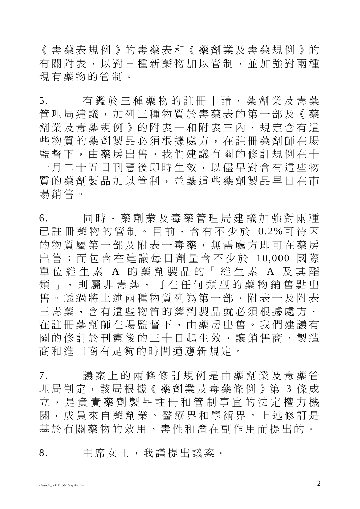《毒藥表規例》的毒藥表和《藥劑業及毒藥規例》的 有關附表,以對三種新藥物加以管制,並加強對兩種 現有藥物的管制。

5. 有鑑於三種藥物的註冊申請,藥劑業及毒藥 管理局建議,加列三種物質於毒藥表的第一部及《藥 劑業及毒藥規例》的附表一和附表三內,規定含有這 些物質的藥劑製品必須根據處方,在註冊藥劑師在場 監督下,由藥房出售。我們建議有關的修訂規例在十 一月二十五日刊憲後即時生效,以儘早對含有這些物 質的藥劑製品加以管制,並讓這些藥劑製品早日在市 場銷售。

6. 同時,藥劑業及毒藥管理局建議加強對兩種 已註冊藥物的管制。目前,含有不少於 0.2%可待因 的物質屬第一部及附表一毒藥,無需處方即可在藥房 出售;而包含在建議每日劑量含不少於 10,000 國 際 單位維生素 A 的藥劑製品的「維生素 A 及其酯 類」,則屬非毒藥,可在任何類型的藥物銷售點出 售。透過將上述兩種物質列為第一部、附表一及附表 三毒藥,含有這些物質的藥劑製品就必須根據處方, 在註冊藥劑師在場監督下,由藥房出售。我們建議有 關的修訂於刊憲後的三十日起生效,讓銷售商、製造 商和進口商有足夠的時間適應新規定。

7. 議案上的兩條修訂規例是由藥劑業及毒藥管 理局制定,該局根據《藥劑業及毒藥條例》第 3 條成 立,是負 責 藥劑製品註冊和管制 事 宜 的法定 權力機 關,成員 來 自 藥劑業、醫 療 界 和 學術界 。上述修訂是 基 於有關藥物的效 用 、 毒 性 和 潛 在 副作用 而提出的。

8. 主席女士,我 謹 提出議案。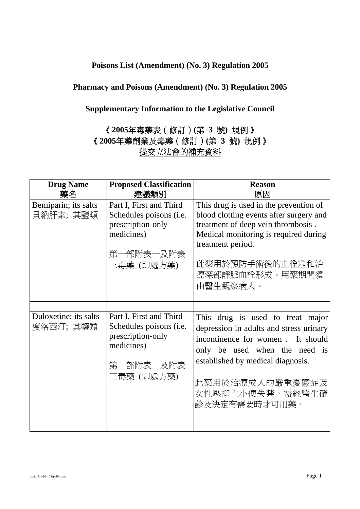## **Poisons List (Amendment) (No. 3) Regulation 2005**

## **Pharmacy and Poisons (Amendment) (No. 3) Regulation 2005**

## **Supplementary Information to the Legislative Council**

## 《**2005**年毒藥表(修訂)**(**第 **3** 號**)** 規例》 《**2005**年藥劑業及毒藥(修訂)**(**第 **3** 號**)** 規例》 提交立法會的補充資料

| <b>Drug Name</b><br>藥名            | <b>Proposed Classification</b><br>建議類別                                                                           | <b>Reason</b><br>原因                                                                                                                                                                                                                           |
|-----------------------------------|------------------------------------------------------------------------------------------------------------------|-----------------------------------------------------------------------------------------------------------------------------------------------------------------------------------------------------------------------------------------------|
| Bemiparin; its salts<br>貝納肝素;其鹽類  | Part I, First and Third<br>Schedules poisons (i.e.<br>prescription-only<br>medicines)<br>第一部附表一及附表<br>三毒藥 (即處方藥) | This drug is used in the prevention of<br>blood clotting events after surgery and<br>treatment of deep vein thrombosis.<br>Medical monitoring is required during<br>treatment period.<br>此藥用於預防手術後的血栓塞和治<br>療深部靜脈血栓形成。用藥期間須<br>由醫生觀察病人。       |
|                                   |                                                                                                                  |                                                                                                                                                                                                                                               |
| Duloxetine; its salts<br>度洛西汀;其鹽類 | Part I, First and Third<br>Schedules poisons (i.e.<br>prescription-only<br>medicines)<br>第一部附表一及附表<br>三毒藥 (即處方藥) | This drug is used to treat major<br>depression in adults and stress urinary<br>incontinence for women. It should<br>only be used when the need is<br>established by medical diagnosis.<br>此藥用於治療成人的嚴重憂鬱症及<br>女性壓抑性小便失禁。需經醫生確<br>診及決定有需要時才可用藥。 |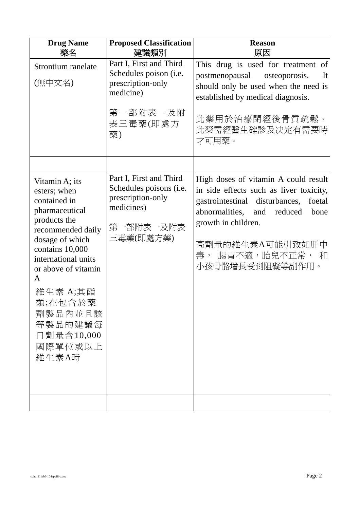| <b>Drug Name</b><br>藥名                                                                                                                                                                                                                                                        | <b>Proposed Classification</b><br>建議類別                                                                            | <b>Reason</b><br>原因                                                                                                                                                                                                                                            |
|-------------------------------------------------------------------------------------------------------------------------------------------------------------------------------------------------------------------------------------------------------------------------------|-------------------------------------------------------------------------------------------------------------------|----------------------------------------------------------------------------------------------------------------------------------------------------------------------------------------------------------------------------------------------------------------|
| Strontium ranelate<br>(無中文名)                                                                                                                                                                                                                                                  | Part I, First and Third<br>Schedules poison (i.e.<br>prescription-only<br>medicine)<br>第一部附表一及附<br>表三毒藥(即處方<br>藥) | This drug is used for treatment of<br>postmenopausal osteoporosis.<br>It<br>should only be used when the need is<br>established by medical diagnosis.<br>此藥用於治療閉經後骨質疏鬆。<br>此藥需經醫生確診及决定有需要時<br>才可用藥。                                                            |
|                                                                                                                                                                                                                                                                               |                                                                                                                   |                                                                                                                                                                                                                                                                |
| Vitamin A; its<br>esters; when<br>contained in<br>pharmaceutical<br>products the<br>recommended daily<br>dosage of which<br>contains 10,000<br>international units<br>or above of vitamin<br>A<br>維生素 A;其酯<br>類;在包含於藥<br>劑製品內並且該<br>等製品的建議每<br>日劑量含10,000<br>國際單位或以上<br>維生素A時 | Part I, First and Third<br>Schedules poisons (i.e.<br>prescription-only<br>medicines)<br>第一部附表一及附表<br>三毒藥(即處方藥)   | High doses of vitamin A could result<br>in side effects such as liver toxicity,<br>gastrointestinal disturbances,<br>foetal<br>abnormalities,<br>reduced<br>and<br>bone<br>growth in children.<br>高劑量的維生素A可能引致如肝中<br>腸胃不適,胎兒不正常,<br>毒,<br>和<br>小孩骨骼增長受到阻礙等副作用。 |
|                                                                                                                                                                                                                                                                               |                                                                                                                   |                                                                                                                                                                                                                                                                |